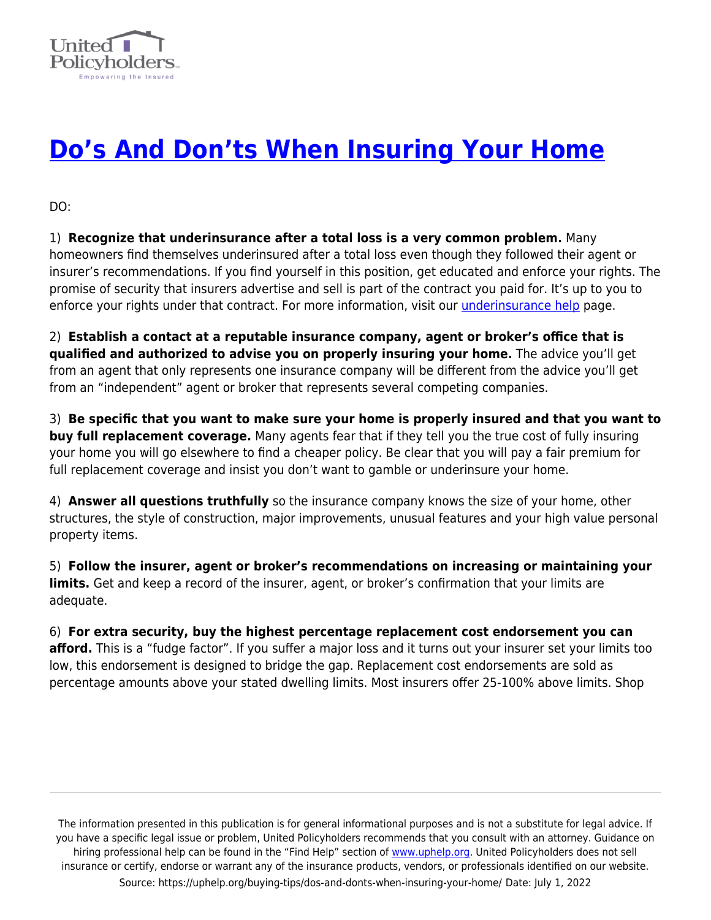

## **[Do's And Don'ts When Insuring Your Home](https://uphelp.org/buying-tips/dos-and-donts-when-insuring-your-home/)**

DO:

1) **Recognize that underinsurance after a total loss is a very common problem.** Many homeowners find themselves underinsured after a total loss even though they followed their agent or insurer's recommendations. If you find yourself in this position, get educated and enforce your rights. The promise of security that insurers advertise and sell is part of the contract you paid for. It's up to you to enforce your rights under that contract. For more information, visit our *underinsurance help* page.

2) **Establish a contact at a reputable insurance company, agent or broker's office that is qualified and authorized to advise you on properly insuring your home.** The advice you'll get from an agent that only represents one insurance company will be different from the advice you'll get from an "independent" agent or broker that represents several competing companies.

3) **Be specific that you want to make sure your home is properly insured and that you want to buy full replacement coverage.** Many agents fear that if they tell you the true cost of fully insuring your home you will go elsewhere to find a cheaper policy. Be clear that you will pay a fair premium for full replacement coverage and insist you don't want to gamble or underinsure your home.

4) **Answer all questions truthfully** so the insurance company knows the size of your home, other structures, the style of construction, major improvements, unusual features and your high value personal property items.

5) **Follow the insurer, agent or broker's recommendations on increasing or maintaining your limits.** Get and keep a record of the insurer, agent, or broker's confirmation that your limits are adequate.

## 6) **For extra security, buy the highest percentage replacement cost endorsement you can afford.** This is a "fudge factor". If you suffer a major loss and it turns out your insurer set your limits too low, this endorsement is designed to bridge the gap. Replacement cost endorsements are sold as percentage amounts above your stated dwelling limits. Most insurers offer 25-100% above limits. Shop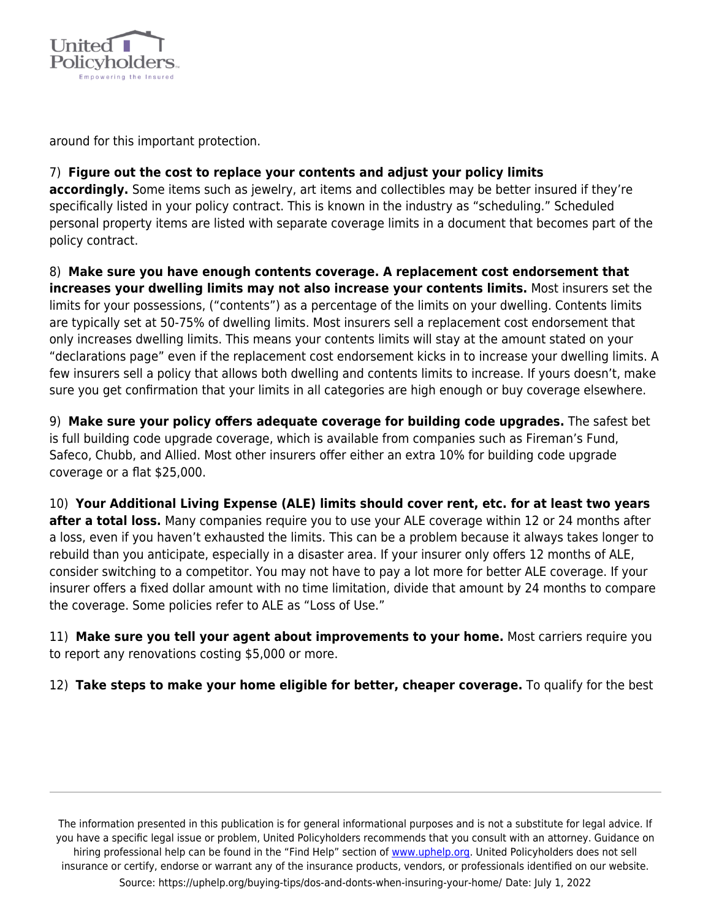

around for this important protection.

## 7) **Figure out the cost to replace your contents and adjust your policy limits**

**accordingly.** Some items such as jewelry, art items and collectibles may be better insured if they're specifically listed in your policy contract. This is known in the industry as "scheduling." Scheduled personal property items are listed with separate coverage limits in a document that becomes part of the policy contract.

8) **Make sure you have enough contents coverage. A replacement cost endorsement that increases your dwelling limits may not also increase your contents limits.** Most insurers set the limits for your possessions, ("contents") as a percentage of the limits on your dwelling. Contents limits are typically set at 50-75% of dwelling limits. Most insurers sell a replacement cost endorsement that only increases dwelling limits. This means your contents limits will stay at the amount stated on your "declarations page" even if the replacement cost endorsement kicks in to increase your dwelling limits. A few insurers sell a policy that allows both dwelling and contents limits to increase. If yours doesn't, make sure you get confirmation that your limits in all categories are high enough or buy coverage elsewhere.

9) **Make sure your policy offers adequate coverage for building code upgrades.** The safest bet is full building code upgrade coverage, which is available from companies such as Fireman's Fund, Safeco, Chubb, and Allied. Most other insurers offer either an extra 10% for building code upgrade coverage or a flat \$25,000.

10) **Your Additional Living Expense (ALE) limits should cover rent, etc. for at least two years after a total loss.** Many companies require you to use your ALE coverage within 12 or 24 months after a loss, even if you haven't exhausted the limits. This can be a problem because it always takes longer to rebuild than you anticipate, especially in a disaster area. If your insurer only offers 12 months of ALE, consider switching to a competitor. You may not have to pay a lot more for better ALE coverage. If your insurer offers a fixed dollar amount with no time limitation, divide that amount by 24 months to compare the coverage. Some policies refer to ALE as "Loss of Use."

11) **Make sure you tell your agent about improvements to your home.** Most carriers require you to report any renovations costing \$5,000 or more.

12) **Take steps to make your home eligible for better, cheaper coverage.** To qualify for the best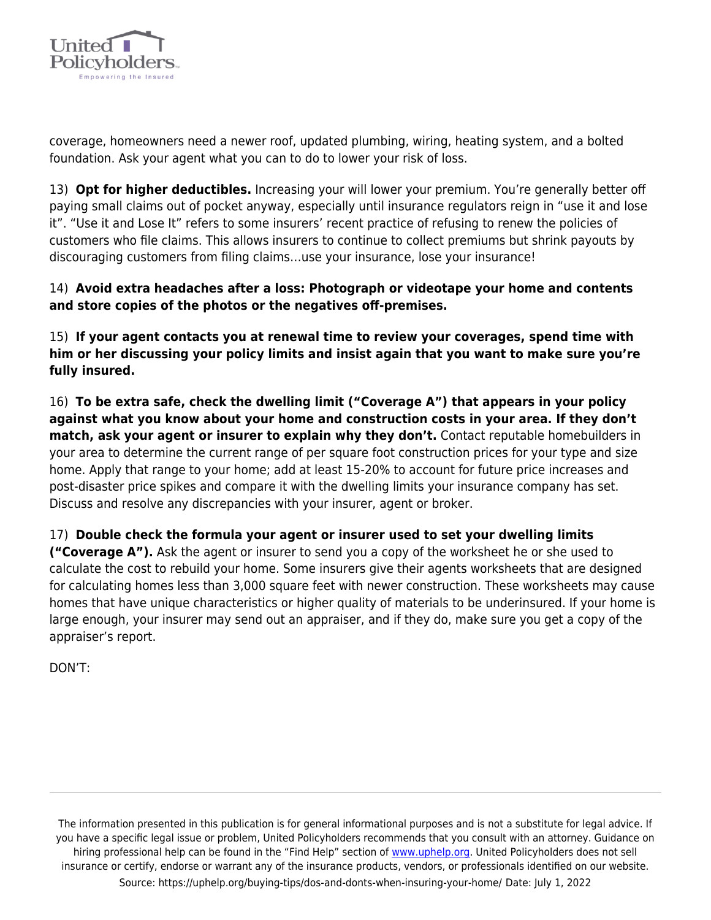

coverage, homeowners need a newer roof, updated plumbing, wiring, heating system, and a bolted foundation. Ask your agent what you can to do to lower your risk of loss.

13) **Opt for higher deductibles.** Increasing your will lower your premium. You're generally better off paying small claims out of pocket anyway, especially until insurance regulators reign in "use it and lose it". "Use it and Lose It" refers to some insurers' recent practice of refusing to renew the policies of customers who file claims. This allows insurers to continue to collect premiums but shrink payouts by discouraging customers from filing claims…use your insurance, lose your insurance!

14) **Avoid extra headaches after a loss: Photograph or videotape your home and contents and store copies of the photos or the negatives off-premises.**

15) **If your agent contacts you at renewal time to review your coverages, spend time with him or her discussing your policy limits and insist again that you want to make sure you're fully insured.**

16) **To be extra safe, check the dwelling limit ("Coverage A") that appears in your policy against what you know about your home and construction costs in your area. If they don't match, ask your agent or insurer to explain why they don't.** Contact reputable homebuilders in your area to determine the current range of per square foot construction prices for your type and size home. Apply that range to your home; add at least 15-20% to account for future price increases and post-disaster price spikes and compare it with the dwelling limits your insurance company has set. Discuss and resolve any discrepancies with your insurer, agent or broker.

17) **Double check the formula your agent or insurer used to set your dwelling limits**

**("Coverage A").** Ask the agent or insurer to send you a copy of the worksheet he or she used to calculate the cost to rebuild your home. Some insurers give their agents worksheets that are designed for calculating homes less than 3,000 square feet with newer construction. These worksheets may cause homes that have unique characteristics or higher quality of materials to be underinsured. If your home is large enough, your insurer may send out an appraiser, and if they do, make sure you get a copy of the appraiser's report.

DON'T: